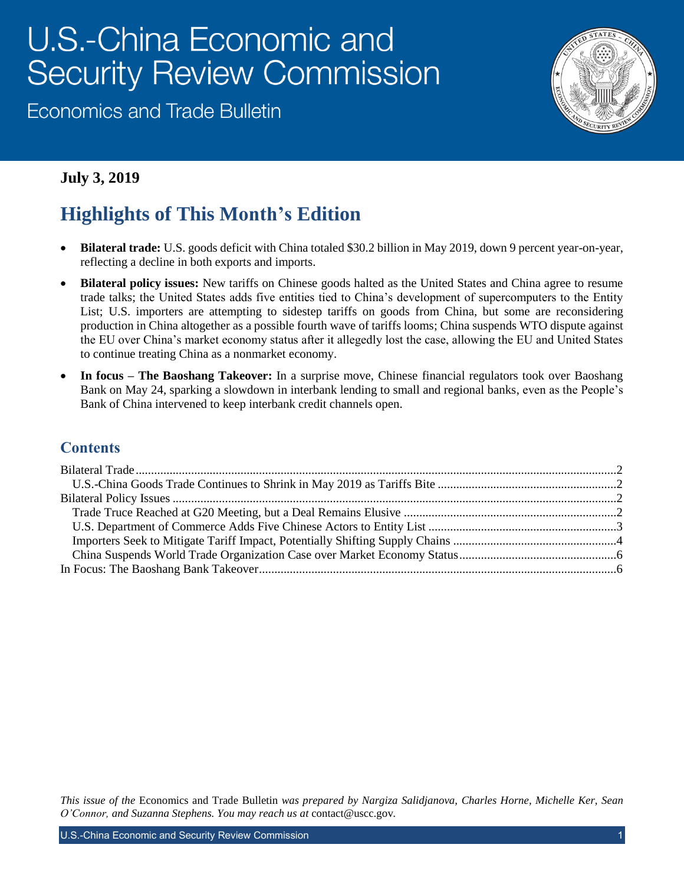# U.S.-China Economic and **Security Review Commission**

**Economics and Trade Bulletin** 



## **July 3, 2019**

# **Highlights of This Month's Edition**

- **Bilateral trade:** U.S. goods deficit with China totaled \$30.2 billion in May 2019, down 9 percent year-on-year, reflecting a decline in both exports and imports.
- **Bilateral policy issues:** New tariffs on Chinese goods halted as the United States and China agree to resume trade talks; the United States adds five entities tied to China's development of supercomputers to the Entity List; U.S. importers are attempting to sidestep tariffs on goods from China, but some are reconsidering production in China altogether as a possible fourth wave of tariffs looms; China suspends WTO dispute against the EU over China's market economy status after it allegedly lost the case, allowing the EU and United States to continue treating China as a nonmarket economy.
- **In focus – The Baoshang Takeover:** In a surprise move, Chinese financial regulators took over Baoshang Bank on May 24, sparking a slowdown in interbank lending to small and regional banks, even as the People's Bank of China intervened to keep interbank credit channels open.

### **Contents**

*This issue of the* Economics and Trade Bulletin *was prepared by Nargiza Salidjanova, Charles Horne, Michelle Ker, Sean O'Connor, and Suzanna Stephens. You may reach us at* [contact@uscc.gov](mailto:contact@uscc.gov)*.*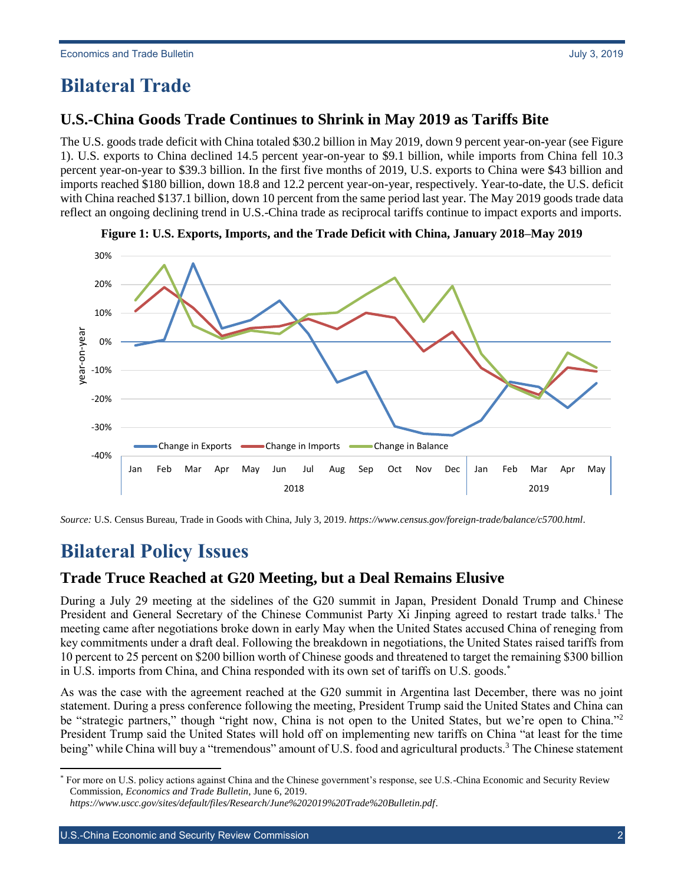# <span id="page-1-1"></span><span id="page-1-0"></span>**Bilateral Trade**

The U.S. goods trade deficit with China totaled \$30.2 billion in May 2019, down 9 percent year-on-year (see Figure 1). U.S. exports to China declined 14.5 percent year-on-year to \$9.1 billion, while imports from China fell 10.3 percent year-on-year to \$39.3 billion. In the first five months of 2019, U.S. exports to China were \$43 billion and imports reached \$180 billion, down 18.8 and 12.2 percent year-on-year, respectively. Year-to-date, the U.S. deficit with China reached \$137.1 billion, down 10 percent from the same period last year. The May 2019 goods trade data reflect an ongoing declining trend in U.S.-China trade as reciprocal tariffs continue to impact exports and imports.





*Source:* U.S. Census Bureau, Trade in Goods with China, July 3, 2019. *<https://www.census.gov/foreign-trade/balance/c5700.html>*.

# <span id="page-1-2"></span>**Bilateral Policy Issues**

l

### <span id="page-1-3"></span>**Trade Truce Reached at G20 Meeting, but a Deal Remains Elusive**

During a July 29 meeting at the sidelines of the G20 summit in Japan, President Donald Trump and Chinese President and General Secretary of the Chinese Communist Party Xi Jinping agreed to restart trade talks.<sup>1</sup> The meeting came after negotiations broke down in early May when the United States accused China of reneging from key commitments under a draft deal. Following the breakdown in negotiations, the United States raised tariffs from 10 percent to 25 percent on \$200 billion worth of Chinese goods and threatened to target the remaining \$300 billion in U.S. imports from China, and China responded with its own set of tariffs on U.S. goods.\*

As was the case with the agreement reached at the G20 summit in Argentina last December, there was no joint statement. During a press conference following the meeting, President Trump said the United States and China can be "strategic partners," though "right now, China is not open to the United States, but we're open to China."<sup>2</sup> President Trump said the United States will hold off on implementing new tariffs on China "at least for the time being" while China will buy a "tremendous" amount of U.S. food and agricultural products.<sup>3</sup> The Chinese statement

<sup>\*</sup> For more on U.S. policy actions against China and the Chinese government's response, see U.S.-China Economic and Security Review Commission, *Economics and Trade Bulletin*, June 6, 2019.

*<https://www.uscc.gov/sites/default/files/Research/June%202019%20Trade%20Bulletin.pdf>*.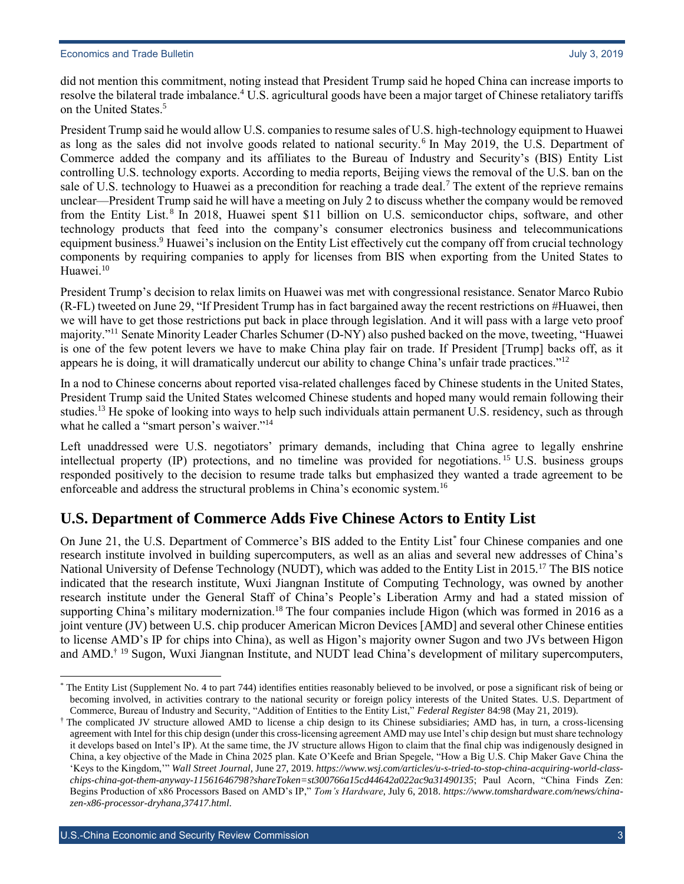did not mention this commitment, noting instead that President Trump said he hoped China can increase imports to resolve the bilateral trade imbalance.<sup>4</sup> U.S. agricultural goods have been a major target of Chinese retaliatory tariffs on the United States.<sup>5</sup>

President Trump said he would allow U.S. companies to resume sales of U.S. high-technology equipment to Huawei as long as the sales did not involve goods related to national security.<sup>6</sup> In May 2019, the U.S. Department of Commerce added the company and its affiliates to the Bureau of Industry and Security's (BIS) Entity List controlling U.S. technology exports. According to media reports, Beijing views the removal of the U.S. ban on the sale of U.S. technology to Huawei as a precondition for reaching a trade deal.<sup>7</sup> The extent of the reprieve remains unclear—President Trump said he will have a meeting on July 2 to discuss whether the company would be removed from the Entity List.<sup>8</sup> In 2018, Huawei spent \$11 billion on U.S. semiconductor chips, software, and other technology products that feed into the company's consumer electronics business and telecommunications equipment business.<sup>9</sup> Huawei's inclusion on the Entity List effectively cut the company off from crucial technology components by requiring companies to apply for licenses from BIS when exporting from the United States to Huawei.<sup>10</sup>

President Trump's decision to relax limits on Huawei was met with congressional resistance. Senator Marco Rubio (R-FL) tweeted on June 29, "If President Trump has in fact bargained away the recent restrictions on #Huawei, then we will have to get those restrictions put back in place through legislation. And it will pass with a large veto proof majority."<sup>11</sup> Senate Minority Leader Charles Schumer (D-NY) also pushed backed on the move, tweeting, "Huawei is one of the few potent levers we have to make China play fair on trade. If President [Trump] backs off, as it appears he is doing, it will dramatically undercut our ability to change China's unfair trade practices."<sup>12</sup>

In a nod to Chinese concerns about reported visa-related challenges faced by Chinese students in the United States, President Trump said the United States welcomed Chinese students and hoped many would remain following their studies.<sup>13</sup> He spoke of looking into ways to help such individuals attain permanent U.S. residency, such as through what he called a "smart person's waiver."<sup>14</sup>

Left unaddressed were U.S. negotiators' primary demands, including that China agree to legally enshrine intellectual property (IP) protections, and no timeline was provided for negotiations. <sup>15</sup> U.S. business groups responded positively to the decision to resume trade talks but emphasized they wanted a trade agreement to be enforceable and address the structural problems in China's economic system.<sup>16</sup>

### <span id="page-2-0"></span>**U.S. Department of Commerce Adds Five Chinese Actors to Entity List**

On June 21, the U.S. Department of Commerce's BIS added to the Entity List<sup>\*</sup> four Chinese companies and one research institute involved in building supercomputers, as well as an alias and several new addresses of China's National University of Defense Technology (NUDT), which was added to the Entity List in 2015.<sup>17</sup> The BIS notice indicated that the research institute, Wuxi Jiangnan Institute of Computing Technology, was owned by another research institute under the General Staff of China's People's Liberation Army and had a stated mission of supporting China's military modernization.<sup>18</sup> The four companies include Higon (which was formed in 2016 as a joint venture (JV) between U.S. chip producer American Micron Devices [AMD] and several other Chinese entities to license AMD's IP for chips into China), as well as Higon's majority owner Sugon and two JVs between Higon and AMD.† <sup>19</sup> Sugon, Wuxi Jiangnan Institute, and NUDT lead China's development of military supercomputers,

l

<sup>\*</sup> The Entity List (Supplement No. 4 to part 744) identifies entities reasonably believed to be involved, or pose a significant risk of being or becoming involved, in activities contrary to the national security or foreign policy interests of the United States. U.S. Department of Commerce, Bureau of Industry and Security, "Addition of Entities to the Entity List," *Federal Register* 84:98 (May 21, 2019).

<sup>†</sup> The complicated JV structure allowed AMD to license a chip design to its Chinese subsidiaries; AMD has, in turn, a cross-licensing agreement with Intel for this chip design (under this cross-licensing agreement AMD may use Intel's chip design but must share technology it develops based on Intel's IP). At the same time, the JV structure allows Higon to claim that the final chip was indigenously designed in China, a key objective of the Made in China 2025 plan. Kate O'Keefe and Brian Spegele, "How a Big U.S. Chip Maker Gave China the 'Keys to the Kingdom,'" *Wall Street Journal*, June 27, 2019. *[https://www.wsj.com/articles/u-s-tried-to-stop-china-acquiring-world-class](https://www.wsj.com/articles/u-s-tried-to-stop-china-acquiring-world-class-chips-china-got-them-anyway-11561646798?shareToken=st300766a15cd44642a022ac9a31490135)[chips-china-got-them-anyway-11561646798?shareToken=st300766a15cd44642a022ac9a31490135](https://www.wsj.com/articles/u-s-tried-to-stop-china-acquiring-world-class-chips-china-got-them-anyway-11561646798?shareToken=st300766a15cd44642a022ac9a31490135)*; Paul Acorn, "China Finds Zen: Begins Production of x86 Processors Based on AMD's IP," *Tom's Hardware*, July 6, 2018. *[https://www.tomshardware.com/news/china](https://www.tomshardware.com/news/china-zen-x86-processor-dryhana,37417.html)[zen-x86-processor-dryhana,37417.html](https://www.tomshardware.com/news/china-zen-x86-processor-dryhana,37417.html)*.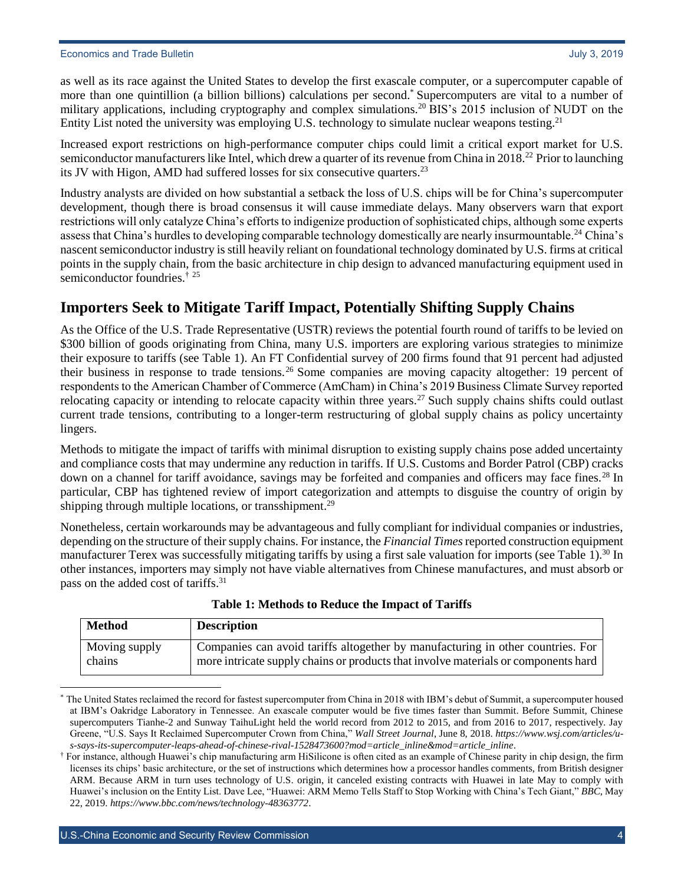as well as its race against the United States to develop the first exascale computer, or a supercomputer capable of more than one quintillion (a billion billions) calculations per second.\* Supercomputers are vital to a number of military applications, including cryptography and complex simulations.<sup>20</sup> BIS's 2015 inclusion of NUDT on the Entity List noted the university was employing U.S. technology to simulate nuclear weapons testing.<sup>21</sup>

Increased export restrictions on high-performance computer chips could limit a critical export market for U.S. semiconductor manufacturers like Intel, which drew a quarter of its revenue from China in 2018.<sup>22</sup> Prior to launching its JV with Higon, AMD had suffered losses for six consecutive quarters.<sup>23</sup>

Industry analysts are divided on how substantial a setback the loss of U.S. chips will be for China's supercomputer development, though there is broad consensus it will cause immediate delays. Many observers warn that export restrictions will only catalyze China's efforts to indigenize production of sophisticated chips, although some experts assess that China's hurdles to developing comparable technology domestically are nearly insurmountable.<sup>24</sup> China's nascent semiconductor industry is still heavily reliant on foundational technology dominated by U.S. firms at critical points in the supply chain, from the basic architecture in chip design to advanced manufacturing equipment used in semiconductor foundries.<sup>† 25</sup>

# <span id="page-3-0"></span>**Importers Seek to Mitigate Tariff Impact, Potentially Shifting Supply Chains**

As the Office of the U.S. Trade Representative (USTR) reviews the potential fourth round of tariffs to be levied on \$300 billion of goods originating from China, many U.S. importers are exploring various strategies to minimize their exposure to tariffs (see Table 1). An FT Confidential survey of 200 firms found that 91 percent had adjusted their business in response to trade tensions.<sup>26</sup> Some companies are moving capacity altogether: 19 percent of respondents to the American Chamber of Commerce (AmCham) in China's 2019 Business Climate Survey reported relocating capacity or intending to relocate capacity within three years.<sup>27</sup> Such supply chains shifts could outlast current trade tensions, contributing to a longer-term restructuring of global supply chains as policy uncertainty lingers.

Methods to mitigate the impact of tariffs with minimal disruption to existing supply chains pose added uncertainty and compliance costs that may undermine any reduction in tariffs. If U.S. Customs and Border Patrol (CBP) cracks down on a channel for tariff avoidance, savings may be forfeited and companies and officers may face fines.<sup>28</sup> In particular, CBP has tightened review of import categorization and attempts to disguise the country of origin by shipping through multiple locations, or transshipment.<sup>29</sup>

Nonetheless, certain workarounds may be advantageous and fully compliant for individual companies or industries, depending on the structure of their supply chains. For instance, the *Financial Times*reported construction equipment manufacturer Terex was successfully mitigating tariffs by using a first sale valuation for imports (see Table 1).<sup>30</sup> In other instances, importers may simply not have viable alternatives from Chinese manufactures, and must absorb or pass on the added cost of tariffs.<sup>31</sup>

| <b>Method</b> | <b>Description</b>                                                                 |
|---------------|------------------------------------------------------------------------------------|
| Moving supply | Companies can avoid tariffs altogether by manufacturing in other countries. For    |
| chains        | more intricate supply chains or products that involve materials or components hard |

#### **Table 1: Methods to Reduce the Impact of Tariffs**

 $\overline{a}$ The United States reclaimed the record for fastest supercomputer from China in 2018 with IBM's debut of Summit, a supercomputer housed at IBM's Oakridge Laboratory in Tennessee. An exascale computer would be five times faster than Summit. Before Summit, Chinese supercomputers Tianhe-2 and Sunway TaihuLight held the world record from 2012 to 2015, and from 2016 to 2017, respectively. Jay Greene, "U.S. Says It Reclaimed Supercomputer Crown from China," *Wall Street Journal*, June 8, 2018. *[https://www.wsj.com/articles/u](https://www.wsj.com/articles/u-s-says-its-supercomputer-leaps-ahead-of-chinese-rival-1528473600?mod=article_inline&mod=article_inline)[s-says-its-supercomputer-leaps-ahead-of-chinese-rival-1528473600?mod=article\\_inline&mod=article\\_inline](https://www.wsj.com/articles/u-s-says-its-supercomputer-leaps-ahead-of-chinese-rival-1528473600?mod=article_inline&mod=article_inline)*.

<sup>†</sup> For instance, although Huawei's chip manufacturing arm HiSilicone is often cited as an example of Chinese parity in chip design, the firm licenses its chips' basic architecture, or the set of instructions which determines how a processor handles comments, from British designer ARM. Because ARM in turn uses technology of U.S. origin, it canceled existing contracts with Huawei in late May to comply with Huawei's inclusion on the Entity List. Dave Lee, "Huawei: ARM Memo Tells Staff to Stop Working with China's Tech Giant," *BBC*, May 22, 2019. *<https://www.bbc.com/news/technology-48363772>*.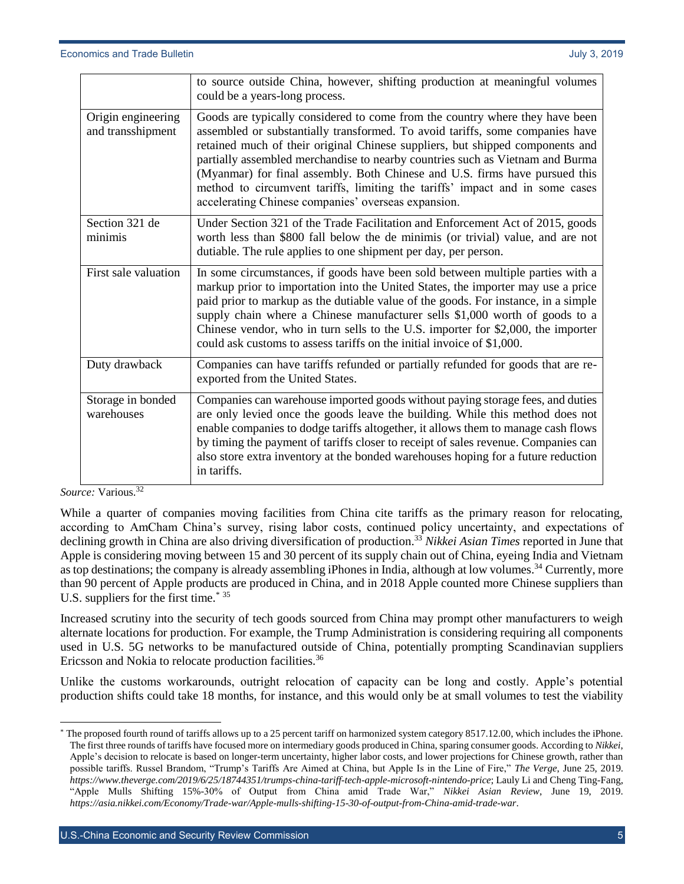|                                         | to source outside China, however, shifting production at meaningful volumes<br>could be a years-long process.                                                                                                                                                                                                                                                                                                                                                                                                                                         |
|-----------------------------------------|-------------------------------------------------------------------------------------------------------------------------------------------------------------------------------------------------------------------------------------------------------------------------------------------------------------------------------------------------------------------------------------------------------------------------------------------------------------------------------------------------------------------------------------------------------|
| Origin engineering<br>and transshipment | Goods are typically considered to come from the country where they have been<br>assembled or substantially transformed. To avoid tariffs, some companies have<br>retained much of their original Chinese suppliers, but shipped components and<br>partially assembled merchandise to nearby countries such as Vietnam and Burma<br>(Myanmar) for final assembly. Both Chinese and U.S. firms have pursued this<br>method to circumvent tariffs, limiting the tariffs' impact and in some cases<br>accelerating Chinese companies' overseas expansion. |
| Section 321 de<br>minimis               | Under Section 321 of the Trade Facilitation and Enforcement Act of 2015, goods<br>worth less than \$800 fall below the de minimis (or trivial) value, and are not<br>dutiable. The rule applies to one shipment per day, per person.                                                                                                                                                                                                                                                                                                                  |
| First sale valuation                    | In some circumstances, if goods have been sold between multiple parties with a<br>markup prior to importation into the United States, the importer may use a price<br>paid prior to markup as the dutiable value of the goods. For instance, in a simple<br>supply chain where a Chinese manufacturer sells \$1,000 worth of goods to a<br>Chinese vendor, who in turn sells to the U.S. importer for \$2,000, the importer<br>could ask customs to assess tariffs on the initial invoice of \$1,000.                                                 |
| Duty drawback                           | Companies can have tariffs refunded or partially refunded for goods that are re-<br>exported from the United States.                                                                                                                                                                                                                                                                                                                                                                                                                                  |
| Storage in bonded<br>warehouses         | Companies can warehouse imported goods without paying storage fees, and duties<br>are only levied once the goods leave the building. While this method does not<br>enable companies to dodge tariffs altogether, it allows them to manage cash flows<br>by timing the payment of tariffs closer to receipt of sales revenue. Companies can<br>also store extra inventory at the bonded warehouses hoping for a future reduction<br>in tariffs.                                                                                                        |

*Source:* Various.<sup>32</sup>

 $\overline{a}$ 

While a quarter of companies moving facilities from China cite tariffs as the primary reason for relocating, according to AmCham China's survey, rising labor costs, continued policy uncertainty, and expectations of declining growth in China are also driving diversification of production.<sup>33</sup> *Nikkei Asian Times* reported in June that Apple is considering moving between 15 and 30 percent of its supply chain out of China, eyeing India and Vietnam as top destinations; the company is already assembling iPhones in India, although at low volumes.<sup>34</sup> Currently, more than 90 percent of Apple products are produced in China, and in 2018 Apple counted more Chinese suppliers than U.S. suppliers for the first time.\* <sup>35</sup>

Increased scrutiny into the security of tech goods sourced from China may prompt other manufacturers to weigh alternate locations for production. For example, the Trump Administration is considering requiring all components used in U.S. 5G networks to be manufactured outside of China, potentially prompting Scandinavian suppliers Ericsson and Nokia to relocate production facilities.<sup>36</sup>

Unlike the customs workarounds, outright relocation of capacity can be long and costly. Apple's potential production shifts could take 18 months, for instance, and this would only be at small volumes to test the viability

The proposed fourth round of tariffs allows up to a 25 percent tariff on harmonized system category 8517.12.00, which includes the iPhone. The first three rounds of tariffs have focused more on intermediary goods produced in China, sparing consumer goods. According to *Nikkei*, Apple's decision to relocate is based on longer-term uncertainty, higher labor costs, and lower projections for Chinese growth, rather than possible tariffs. Russel Brandom, "Trump's Tariffs Are Aimed at China, but Apple Is in the Line of Fire," *The Verge*, June 25, 2019. *<https://www.theverge.com/2019/6/25/18744351/trumps-china-tariff-tech-apple-microsoft-nintendo-price>*; Lauly Li and Cheng Ting-Fang, "Apple Mulls Shifting 15%-30% of Output from China amid Trade War," *Nikkei Asian Review*, June 19, 2019. *<https://asia.nikkei.com/Economy/Trade-war/Apple-mulls-shifting-15-30-of-output-from-China-amid-trade-war>*.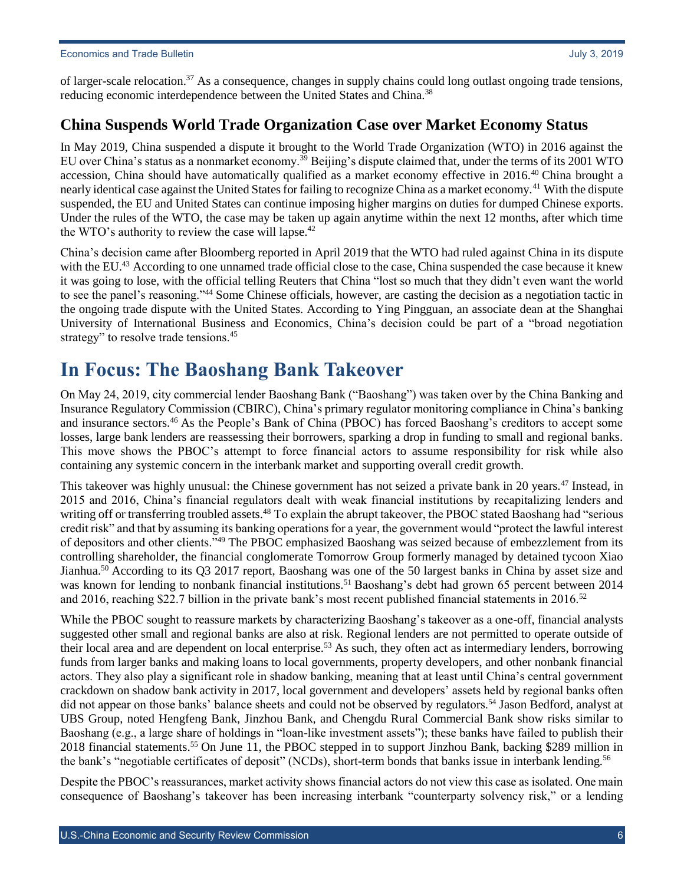of larger-scale relocation.<sup>37</sup> As a consequence, changes in supply chains could long outlast ongoing trade tensions, reducing economic interdependence between the United States and China.<sup>38</sup>

### <span id="page-5-0"></span>**China Suspends World Trade Organization Case over Market Economy Status**

In May 2019, China suspended a dispute it brought to the World Trade Organization (WTO) in 2016 against the EU over China's status as a nonmarket economy.<sup>39</sup> Beijing's dispute claimed that, under the terms of its 2001 WTO accession, China should have automatically qualified as a market economy effective in 2016.<sup>40</sup> China brought a nearly identical case against the United States for failing to recognize China as a market economy.<sup>41</sup> With the dispute suspended, the EU and United States can continue imposing higher margins on duties for dumped Chinese exports. Under the rules of the WTO, the case may be taken up again anytime within the next 12 months, after which time the WTO's authority to review the case will lapse. $42$ 

China's decision came after Bloomberg reported in April 2019 that the WTO had ruled against China in its dispute with the EU.<sup>43</sup> According to one unnamed trade official close to the case, China suspended the case because it knew it was going to lose, with the official telling Reuters that China "lost so much that they didn't even want the world to see the panel's reasoning."<sup>44</sup> Some Chinese officials, however, are casting the decision as a negotiation tactic in the ongoing trade dispute with the United States. According to Ying Pingguan, an associate dean at the Shanghai University of International Business and Economics, China's decision could be part of a "broad negotiation strategy" to resolve trade tensions.<sup>45</sup>

# <span id="page-5-1"></span>**In Focus: The Baoshang Bank Takeover**

On May 24, 2019, city commercial lender Baoshang Bank ("Baoshang") was taken over by the China Banking and Insurance Regulatory Commission (CBIRC), China's primary regulator monitoring compliance in China's banking and insurance sectors.<sup>46</sup> As the People's Bank of China (PBOC) has forced Baoshang's creditors to accept some losses, large bank lenders are reassessing their borrowers, sparking a drop in funding to small and regional banks. This move shows the PBOC's attempt to force financial actors to assume responsibility for risk while also containing any systemic concern in the interbank market and supporting overall credit growth.

This takeover was highly unusual: the Chinese government has not seized a private bank in 20 years.<sup>47</sup> Instead, in 2015 and 2016, China's financial regulators dealt with weak financial institutions by recapitalizing lenders and writing off or transferring troubled assets.<sup>48</sup> To explain the abrupt takeover, the PBOC stated Baoshang had "serious credit risk" and that by assuming its banking operations for a year, the government would "protect the lawful interest of depositors and other clients."<sup>49</sup> The PBOC emphasized Baoshang was seized because of embezzlement from its controlling shareholder, the financial conglomerate Tomorrow Group formerly managed by detained tycoon Xiao Jianhua.<sup>50</sup> According to its Q3 2017 report, Baoshang was one of the 50 largest banks in China by asset size and was known for lending to nonbank financial institutions.<sup>51</sup> Baoshang's debt had grown 65 percent between 2014 and 2016, reaching \$22.7 billion in the private bank's most recent published financial statements in 2016.<sup>52</sup>

While the PBOC sought to reassure markets by characterizing Baoshang's takeover as a one-off, financial analysts suggested other small and regional banks are also at risk. Regional lenders are not permitted to operate outside of their local area and are dependent on local enterprise.<sup>53</sup> As such, they often act as intermediary lenders, borrowing funds from larger banks and making loans to local governments, property developers, and other nonbank financial actors. They also play a significant role in shadow banking, meaning that at least until China's central government crackdown on shadow bank activity in 2017, local government and developers' assets held by regional banks often did not appear on those banks' balance sheets and could not be observed by regulators.<sup>54</sup> Jason Bedford, analyst at UBS Group, noted Hengfeng Bank, Jinzhou Bank, and Chengdu Rural Commercial Bank show risks similar to Baoshang (e.g., a large share of holdings in "loan-like investment assets"); these banks have failed to publish their 2018 financial statements.<sup>55</sup> On June 11, the PBOC stepped in to support Jinzhou Bank, backing \$289 million in the bank's "negotiable certificates of deposit" (NCDs), short-term bonds that banks issue in interbank lending.<sup>56</sup>

Despite the PBOC's reassurances, market activity shows financial actors do not view this case as isolated. One main consequence of Baoshang's takeover has been increasing interbank "counterparty solvency risk," or a lending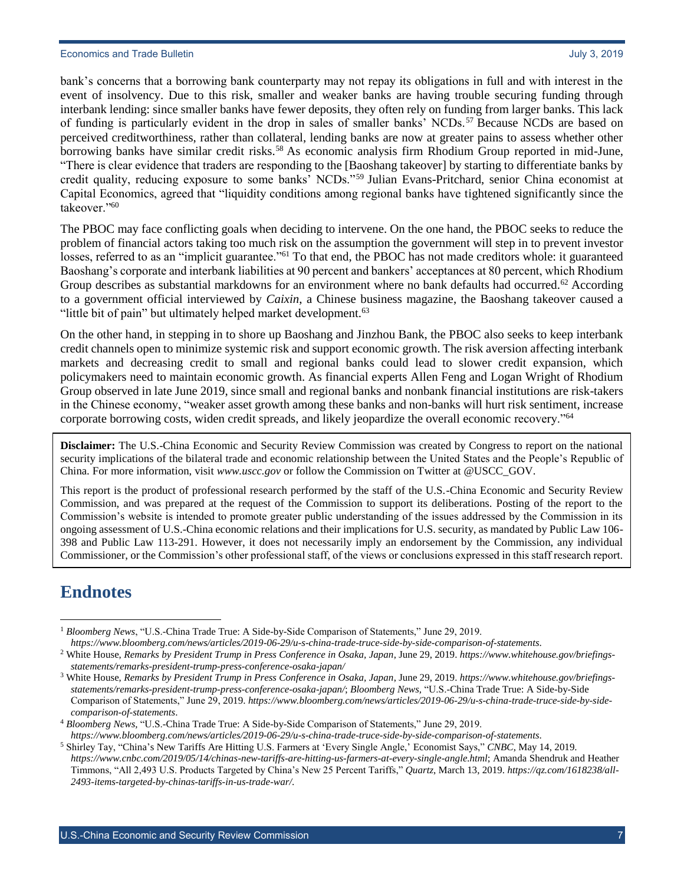bank's concerns that a borrowing bank counterparty may not repay its obligations in full and with interest in the event of insolvency. Due to this risk, smaller and weaker banks are having trouble securing funding through interbank lending: since smaller banks have fewer deposits, they often rely on funding from larger banks. This lack of funding is particularly evident in the drop in sales of smaller banks' NCDs.<sup>57</sup> Because NCDs are based on perceived creditworthiness, rather than collateral, lending banks are now at greater pains to assess whether other borrowing banks have similar credit risks.<sup>58</sup> As economic analysis firm Rhodium Group reported in mid-June, "There is clear evidence that traders are responding to the [Baoshang takeover] by starting to differentiate banks by credit quality, reducing exposure to some banks' NCDs."<sup>59</sup> Julian Evans-Pritchard, senior China economist at Capital Economics, agreed that "liquidity conditions among regional banks have tightened significantly since the takeover."<sup>60</sup>

The PBOC may face conflicting goals when deciding to intervene. On the one hand, the PBOC seeks to reduce the problem of financial actors taking too much risk on the assumption the government will step in to prevent investor losses, referred to as an "implicit guarantee."<sup>61</sup> To that end, the PBOC has not made creditors whole: it guaranteed Baoshang's corporate and interbank liabilities at 90 percent and bankers' acceptances at 80 percent, which Rhodium Group describes as substantial markdowns for an environment where no bank defaults had occurred.<sup>62</sup> According to a government official interviewed by *Caixin*, a Chinese business magazine, the Baoshang takeover caused a "little bit of pain" but ultimately helped market development.<sup>63</sup>

On the other hand, in stepping in to shore up Baoshang and Jinzhou Bank, the PBOC also seeks to keep interbank credit channels open to minimize systemic risk and support economic growth. The risk aversion affecting interbank markets and decreasing credit to small and regional banks could lead to slower credit expansion, which policymakers need to maintain economic growth. As financial experts Allen Feng and Logan Wright of Rhodium Group observed in late June 2019, since small and regional banks and nonbank financial institutions are risk-takers in the Chinese economy, "weaker asset growth among these banks and non-banks will hurt risk sentiment, increase corporate borrowing costs, widen credit spreads, and likely jeopardize the overall economic recovery."<sup>64</sup>

**Disclaimer:** The U.S.-China Economic and Security Review Commission was created by Congress to report on the national security implications of the bilateral trade and economic relationship between the United States and the People's Republic of China. For more information, visit *[www.uscc.gov](http://www.uscc.gov/)* or follow the Commission on Twitter at @USCC\_GOV.

This report is the product of professional research performed by the staff of the U.S.-China Economic and Security Review Commission, and was prepared at the request of the Commission to support its deliberations. Posting of the report to the Commission's website is intended to promote greater public understanding of the issues addressed by the Commission in its ongoing assessment of U.S.-China economic relations and their implications for U.S. security, as mandated by Public Law 106- 398 and Public Law 113-291. However, it does not necessarily imply an endorsement by the Commission, any individual Commissioner, or the Commission's other professional staff, of the views or conclusions expressed in this staff research report.

# **Endnotes**

<sup>1</sup> *Bloomberg News*, "U.S.-China Trade True: A Side-by-Side Comparison of Statements," June 29, 2019.  $\overline{a}$ 

*<https://www.bloomberg.com/news/articles/2019-06-29/u-s-china-trade-truce-side-by-side-comparison-of-statements>*.

<sup>2</sup> White House, *Remarks by President Trump in Press Conference in Osaka, Japan*, June 29, 2019. *[https://www.whitehouse.gov/briefings](https://www.whitehouse.gov/briefings-statements/remarks-president-trump-press-conference-osaka-japan/)[statements/remarks-president-trump-press-conference-osaka-japan/](https://www.whitehouse.gov/briefings-statements/remarks-president-trump-press-conference-osaka-japan/)*

<sup>3</sup> White House, *Remarks by President Trump in Press Conference in Osaka, Japan*, June 29, 2019. *[https://www.whitehouse.gov/briefings](https://www.whitehouse.gov/briefings-statements/remarks-president-trump-press-conference-osaka-japan/)[statements/remarks-president-trump-press-conference-osaka-japan/](https://www.whitehouse.gov/briefings-statements/remarks-president-trump-press-conference-osaka-japan/)*; *Bloomberg News,* "U.S.-China Trade True: A Side-by-Side Comparison of Statements," June 29, 2019. *[https://www.bloomberg.com/news/articles/2019-06-29/u-s-china-trade-truce-side-by-side](https://www.bloomberg.com/news/articles/2019-06-29/u-s-china-trade-truce-side-by-side-comparison-of-statements)[comparison-of-statements](https://www.bloomberg.com/news/articles/2019-06-29/u-s-china-trade-truce-side-by-side-comparison-of-statements)*.

<sup>4</sup> *Bloomberg News,* "U.S.-China Trade True: A Side-by-Side Comparison of Statements," June 29, 2019. *<https://www.bloomberg.com/news/articles/2019-06-29/u-s-china-trade-truce-side-by-side-comparison-of-statements>*.

<sup>5</sup> Shirley Tay, "China's New Tariffs Are Hitting U.S. Farmers at 'Every Single Angle,' Economist Says," *CNBC*, May 14, 2019. *<https://www.cnbc.com/2019/05/14/chinas-new-tariffs-are-hitting-us-farmers-at-every-single-angle.html>*; Amanda Shendruk and Heather Timmons, "All 2,493 U.S. Products Targeted by China's New 25 Percent Tariffs," *Quartz*, March 13, 2019. *[https://qz.com/1618238/all-](https://qz.com/1618238/all-2493-items-targeted-by-chinas-tariffs-in-us-trade-war/)[2493-items-targeted-by-chinas-tariffs-in-us-trade-war/](https://qz.com/1618238/all-2493-items-targeted-by-chinas-tariffs-in-us-trade-war/)*.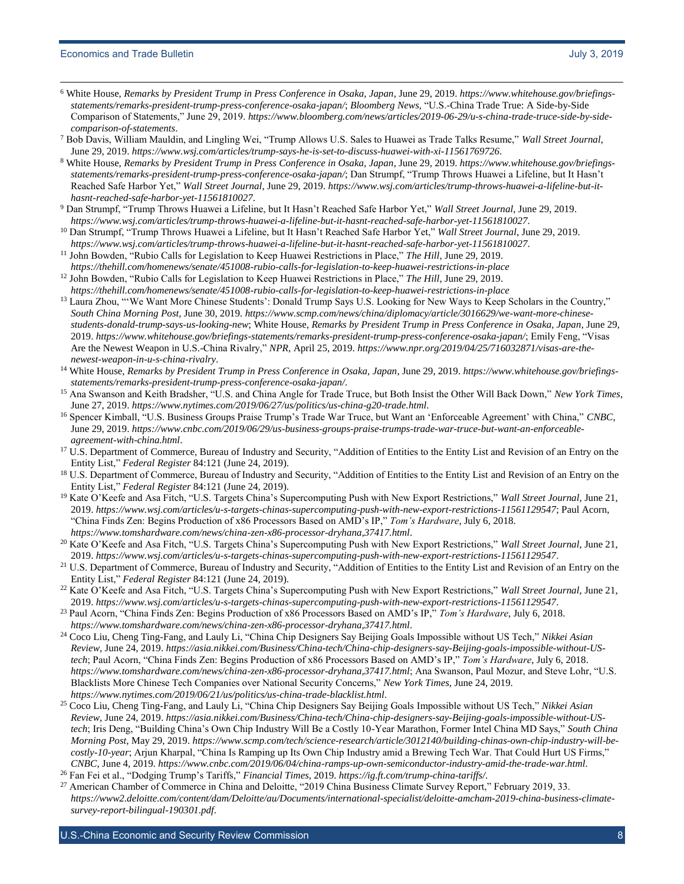l

- <sup>6</sup> White House, *Remarks by President Trump in Press Conference in Osaka, Japan*, June 29, 2019. *[https://www.whitehouse.gov/briefings](https://www.whitehouse.gov/briefings-statements/remarks-president-trump-press-conference-osaka-japan/)[statements/remarks-president-trump-press-conference-osaka-japan/](https://www.whitehouse.gov/briefings-statements/remarks-president-trump-press-conference-osaka-japan/)*; *Bloomberg News,* "U.S.-China Trade True: A Side-by-Side Comparison of Statements," June 29, 2019. *[https://www.bloomberg.com/news/articles/2019-06-29/u-s-china-trade-truce-side-by-side](https://www.bloomberg.com/news/articles/2019-06-29/u-s-china-trade-truce-side-by-side-comparison-of-statements)[comparison-of-statements](https://www.bloomberg.com/news/articles/2019-06-29/u-s-china-trade-truce-side-by-side-comparison-of-statements)*.
- <sup>7</sup> Bob Davis, William Mauldin, and Lingling Wei, "Trump Allows U.S. Sales to Huawei as Trade Talks Resume," *Wall Street Journal*, June 29, 2019. *<https://www.wsj.com/articles/trump-says-he-is-set-to-discuss-huawei-with-xi-11561769726>*.
- <sup>8</sup> White House, *Remarks by President Trump in Press Conference in Osaka, Japan*, June 29, 2019. *[https://www.whitehouse.gov/briefings](https://www.whitehouse.gov/briefings-statements/remarks-president-trump-press-conference-osaka-japan/)[statements/remarks-president-trump-press-conference-osaka-japan/](https://www.whitehouse.gov/briefings-statements/remarks-president-trump-press-conference-osaka-japan/)*; Dan Strumpf, "Trump Throws Huawei a Lifeline, but It Hasn't Reached Safe Harbor Yet," *Wall Street Journal*, June 29, 2019. *[https://www.wsj.com/articles/trump-throws-huawei-a-lifeline-but-it](https://www.wsj.com/articles/trump-throws-huawei-a-lifeline-but-it-hasnt-reached-safe-harbor-yet-11561810027)[hasnt-reached-safe-harbor-yet-11561810027](https://www.wsj.com/articles/trump-throws-huawei-a-lifeline-but-it-hasnt-reached-safe-harbor-yet-11561810027)*.
- <sup>9</sup> Dan Strumpf, "Trump Throws Huawei a Lifeline, but It Hasn't Reached Safe Harbor Yet," *Wall Street Journal*, June 29, 2019. *<https://www.wsj.com/articles/trump-throws-huawei-a-lifeline-but-it-hasnt-reached-safe-harbor-yet-11561810027>*.
- <sup>10</sup> Dan Strumpf, "Trump Throws Huawei a Lifeline, but It Hasn't Reached Safe Harbor Yet," *Wall Street Journal*, June 29, 2019. *<https://www.wsj.com/articles/trump-throws-huawei-a-lifeline-but-it-hasnt-reached-safe-harbor-yet-11561810027>*.
- <sup>11</sup> John Bowden, "Rubio Calls for Legislation to Keep Huawei Restrictions in Place," *The Hill*, June 29, 2019. *<https://thehill.com/homenews/senate/451008-rubio-calls-for-legislation-to-keep-huawei-restrictions-in-place>*
- <sup>12</sup> John Bowden, "Rubio Calls for Legislation to Keep Huawei Restrictions in Place," *The Hill*, June 29, 2019. *<https://thehill.com/homenews/senate/451008-rubio-calls-for-legislation-to-keep-huawei-restrictions-in-place>*
- <sup>13</sup> Laura Zhou, "'We Want More Chinese Students': Donald Trump Says U.S. Looking for New Ways to Keep Scholars in the Country," *South China Morning Post*, June 30, 2019. *[https://www.scmp.com/news/china/diplomacy/article/3016629/we-want-more-chinese](https://www.scmp.com/news/china/diplomacy/article/3016629/we-want-more-chinese-students-donald-trump-says-us-looking-new)[students-donald-trump-says-us-looking-new](https://www.scmp.com/news/china/diplomacy/article/3016629/we-want-more-chinese-students-donald-trump-says-us-looking-new)*; White House, *Remarks by President Trump in Press Conference in Osaka, Japan*, June 29, 2019. *<https://www.whitehouse.gov/briefings-statements/remarks-president-trump-press-conference-osaka-japan/>*; Emily Feng, "Visas Are the Newest Weapon in U.S.-China Rivalry," *NPR*, April 25, 2019. *[https://www.npr.org/2019/04/25/716032871/visas-are-the](https://www.npr.org/2019/04/25/716032871/visas-are-the-newest-weapon-in-u-s-china-rivalry)[newest-weapon-in-u-s-china-rivalry](https://www.npr.org/2019/04/25/716032871/visas-are-the-newest-weapon-in-u-s-china-rivalry)*.
- <sup>14</sup> White House, *Remarks by President Trump in Press Conference in Osaka, Japan*, June 29, 2019. *[https://www.whitehouse.gov/briefings](https://www.whitehouse.gov/briefings-statements/remarks-president-trump-press-conference-osaka-japan/)[statements/remarks-president-trump-press-conference-osaka-japan/](https://www.whitehouse.gov/briefings-statements/remarks-president-trump-press-conference-osaka-japan/)*.
- <sup>15</sup> Ana Swanson and Keith Bradsher, "U.S. and China Angle for Trade Truce, but Both Insist the Other Will Back Down," *New York Times*, June 27, 2019. *<https://www.nytimes.com/2019/06/27/us/politics/us-china-g20-trade.html>*.
- <sup>16</sup> Spencer Kimball, "U.S. Business Groups Praise Trump's Trade War Truce, but Want an 'Enforceable Agreement' with China," *CNBC*, June 29, 2019. *[https://www.cnbc.com/2019/06/29/us-business-groups-praise-trumps-trade-war-truce-but-want-an-enforceable](https://www.cnbc.com/2019/06/29/us-business-groups-praise-trumps-trade-war-truce-but-want-an-enforceable-agreement-with-china.html)[agreement-with-china.html](https://www.cnbc.com/2019/06/29/us-business-groups-praise-trumps-trade-war-truce-but-want-an-enforceable-agreement-with-china.html)*.
- <sup>17</sup> U.S. Department of Commerce, Bureau of Industry and Security, "Addition of Entities to the Entity List and Revision of an Entry on the Entity List," *Federal Register* 84:121 (June 24, 2019).
- <sup>18</sup> U.S. Department of Commerce, Bureau of Industry and Security, "Addition of Entities to the Entity List and Revision of an Entry on the Entity List," *Federal Register* 84:121 (June 24, 2019).
- <sup>19</sup> Kate O'Keefe and Asa Fitch, "U.S. Targets China's Supercomputing Push with New Export Restrictions," *Wall Street Journal*, June 21, 2019. *<https://www.wsj.com/articles/u-s-targets-chinas-supercomputing-push-with-new-export-restrictions-11561129547>*; Paul Acorn, "China Finds Zen: Begins Production of x86 Processors Based on AMD's IP," *Tom's Hardware*, July 6, 2018. *<https://www.tomshardware.com/news/china-zen-x86-processor-dryhana,37417.html>*.
- <sup>20</sup> Kate O'Keefe and Asa Fitch, "U.S. Targets China's Supercomputing Push with New Export Restrictions," *Wall Street Journal*, June 21, 2019. *<https://www.wsj.com/articles/u-s-targets-chinas-supercomputing-push-with-new-export-restrictions-11561129547>*.
- <sup>21</sup> U.S. Department of Commerce, Bureau of Industry and Security, "Addition of Entities to the Entity List and Revision of an Entry on the Entity List," *Federal Register* 84:121 (June 24, 2019).
- <sup>22</sup> Kate O'Keefe and Asa Fitch, "U.S. Targets China's Supercomputing Push with New Export Restrictions," *Wall Street Journal*, June 21, 2019. *<https://www.wsj.com/articles/u-s-targets-chinas-supercomputing-push-with-new-export-restrictions-11561129547>*.
- <sup>23</sup> Paul Acorn, "China Finds Zen: Begins Production of x86 Processors Based on AMD's IP," *Tom's Hardware*, July 6, 2018. *<https://www.tomshardware.com/news/china-zen-x86-processor-dryhana,37417.html>*.
- <sup>24</sup> Coco Liu, Cheng Ting-Fang, and Lauly Li, "China Chip Designers Say Beijing Goals Impossible without US Tech," *Nikkei Asian Review*, June 24, 2019. *[https://asia.nikkei.com/Business/China-tech/China-chip-designers-say-Beijing-goals-impossible-without-US](https://asia.nikkei.com/Business/China-tech/China-chip-designers-say-Beijing-goals-impossible-without-US-tech)[tech](https://asia.nikkei.com/Business/China-tech/China-chip-designers-say-Beijing-goals-impossible-without-US-tech)*; Paul Acorn, "China Finds Zen: Begins Production of x86 Processors Based on AMD's IP," *Tom's Hardware*, July 6, 2018. *<https://www.tomshardware.com/news/china-zen-x86-processor-dryhana,37417.html>*; Ana Swanson, Paul Mozur, and Steve Lohr, "U.S. Blacklists More Chinese Tech Companies over National Security Concerns," *New York Times*, June 24, 2019. *<https://www.nytimes.com/2019/06/21/us/politics/us-china-trade-blacklist.html>*.
- <sup>25</sup> Coco Liu, Cheng Ting-Fang, and Lauly Li, "China Chip Designers Say Beijing Goals Impossible without US Tech," *Nikkei Asian Review*, June 24, 2019. *[https://asia.nikkei.com/Business/China-tech/China-chip-designers-say-Beijing-goals-impossible-without-US](https://asia.nikkei.com/Business/China-tech/China-chip-designers-say-Beijing-goals-impossible-without-US-tech)[tech](https://asia.nikkei.com/Business/China-tech/China-chip-designers-say-Beijing-goals-impossible-without-US-tech)*; Iris Deng, "Building China's Own Chip Industry Will Be a Costly 10-Year Marathon, Former Intel China MD Says," *South China Morning Post*, May 29, 2019. *[https://www.scmp.com/tech/science-research/article/3012140/building-chinas-own-chip-industry-will-be](https://www.scmp.com/tech/science-research/article/3012140/building-chinas-own-chip-industry-will-be-costly-10-year)[costly-10-year](https://www.scmp.com/tech/science-research/article/3012140/building-chinas-own-chip-industry-will-be-costly-10-year)*; Arjun Kharpal, "China Is Ramping up Its Own Chip Industry amid a Brewing Tech War. That Could Hurt US Firms," *CNBC*, June 4, 2019. *<https://www.cnbc.com/2019/06/04/china-ramps-up-own-semiconductor-industry-amid-the-trade-war.html>*.
- <sup>26</sup> Fan Fei et al., "Dodging Trump's Tariffs," *Financial Times*, 2019. *<https://ig.ft.com/trump-china-tariffs/>*.
- <sup>27</sup> American Chamber of Commerce in China and Deloitte, "2019 China Business Climate Survey Report," February 2019, 33. *[https://www2.deloitte.com/content/dam/Deloitte/au/Documents/international-specialist/deloitte-amcham-2019-china-business-climate](https://www2.deloitte.com/content/dam/Deloitte/au/Documents/international-specialist/deloitte-amcham-2019-china-business-climate-survey-report-bilingual-190301.pdf)[survey-report-bilingual-190301.pdf](https://www2.deloitte.com/content/dam/Deloitte/au/Documents/international-specialist/deloitte-amcham-2019-china-business-climate-survey-report-bilingual-190301.pdf)*.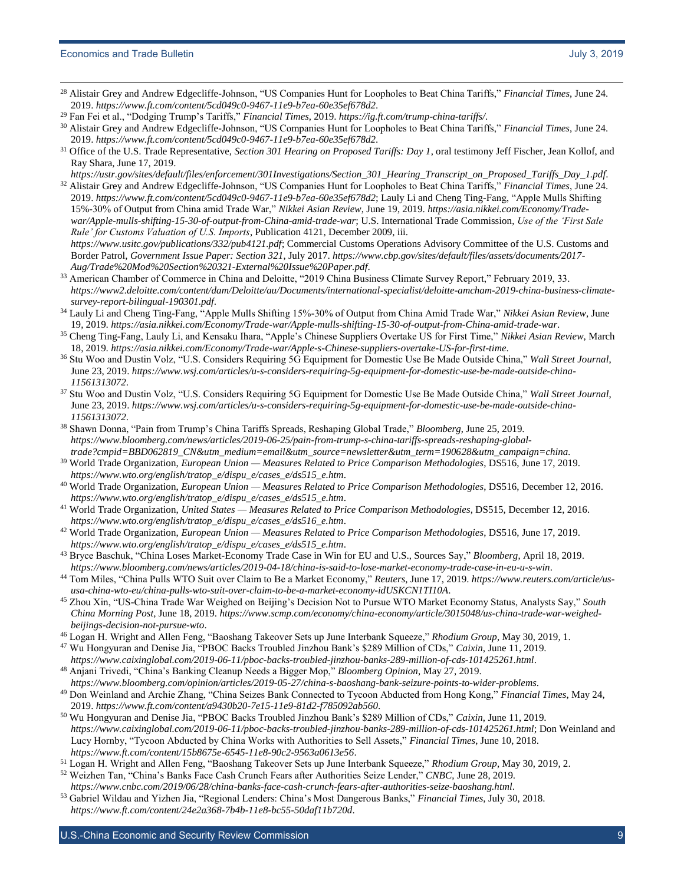l

- <sup>28</sup> Alistair Grey and Andrew Edgecliffe-Johnson, "US Companies Hunt for Loopholes to Beat China Tariffs," *Financial Times*, June 24. 2019. *<https://www.ft.com/content/5cd049c0-9467-11e9-b7ea-60e35ef678d2>*.
- <sup>29</sup> Fan Fei et al., "Dodging Trump's Tariffs," *Financial Times*, 2019. *<https://ig.ft.com/trump-china-tariffs/>*.
- <sup>30</sup> Alistair Grey and Andrew Edgecliffe-Johnson, "US Companies Hunt for Loopholes to Beat China Tariffs," *Financial Times*, June 24. 2019. *<https://www.ft.com/content/5cd049c0-9467-11e9-b7ea-60e35ef678d2>*.
- <sup>31</sup> Office of the U.S. Trade Representative, *Section 301 Hearing on Proposed Tariffs: Day 1*, oral testimony Jeff Fischer, Jean Kollof, and Ray Shara, June 17, 2019.
- *[https://ustr.gov/sites/default/files/enforcement/301Investigations/Section\\_301\\_Hearing\\_Transcript\\_on\\_Proposed\\_Tariffs\\_Day\\_1.pdf](https://ustr.gov/sites/default/files/enforcement/301Investigations/Section_301_Hearing_Transcript_on_Proposed_Tariffs_Day_1.pdf)*. <sup>32</sup> Alistair Grey and Andrew Edgecliffe-Johnson, "US Companies Hunt for Loopholes to Beat China Tariffs," *Financial Times*, June 24. 2019. *<https://www.ft.com/content/5cd049c0-9467-11e9-b7ea-60e35ef678d2>*; Lauly Li and Cheng Ting-Fang, "Apple Mulls Shifting 15%-30% of Output from China amid Trade War," *Nikkei Asian Review*, June 19, 2019. *[https://asia.nikkei.com/Economy/Trade](https://asia.nikkei.com/Economy/Trade-war/Apple-mulls-shifting-15-30-of-output-from-China-amid-trade-war)[war/Apple-mulls-shifting-15-30-of-output-from-China-amid-trade-war](https://asia.nikkei.com/Economy/Trade-war/Apple-mulls-shifting-15-30-of-output-from-China-amid-trade-war)*; U.S. International Trade Commission, *Use of the 'First Sale Rule' for Customs Valuation of U.S. Imports*, Publication 4121, December 2009, iii. *<https://www.usitc.gov/publications/332/pub4121.pdf>*; Commercial Customs Operations Advisory Committee of the U.S. Customs and Border Patrol, *Government Issue Paper: Section 321*, July 2017. *[https://www.cbp.gov/sites/default/files/assets/documents/2017-](https://www.cbp.gov/sites/default/files/assets/documents/2017-Aug/Trade%20Mod%20Section%20321-External%20Issue%20Paper.pdf)*
- *[Aug/Trade%20Mod%20Section%20321-External%20Issue%20Paper.pdf](https://www.cbp.gov/sites/default/files/assets/documents/2017-Aug/Trade%20Mod%20Section%20321-External%20Issue%20Paper.pdf)*. <sup>33</sup> American Chamber of Commerce in China and Deloitte, "2019 China Business Climate Survey Report," February 2019, 33. *[https://www2.deloitte.com/content/dam/Deloitte/au/Documents/international-specialist/deloitte-amcham-2019-china-business-climate](https://www2.deloitte.com/content/dam/Deloitte/au/Documents/international-specialist/deloitte-amcham-2019-china-business-climate-survey-report-bilingual-190301.pdf)[survey-report-bilingual-190301.pdf](https://www2.deloitte.com/content/dam/Deloitte/au/Documents/international-specialist/deloitte-amcham-2019-china-business-climate-survey-report-bilingual-190301.pdf)*.
- <sup>34</sup> Lauly Li and Cheng Ting-Fang, "Apple Mulls Shifting 15%-30% of Output from China Amid Trade War," *Nikkei Asian Review*, June 19, 2019. *<https://asia.nikkei.com/Economy/Trade-war/Apple-mulls-shifting-15-30-of-output-from-China-amid-trade-war>*.
- <sup>35</sup> Cheng Ting-Fang, Lauly Li, and Kensaku Ihara, "Apple's Chinese Suppliers Overtake US for First Time," *Nikkei Asian Review*, March 18, 2019. *<https://asia.nikkei.com/Economy/Trade-war/Apple-s-Chinese-suppliers-overtake-US-for-first-time>*.
- <sup>36</sup> Stu Woo and Dustin Volz, "U.S. Considers Requiring 5G Equipment for Domestic Use Be Made Outside China," *Wall Street Journal*, June 23, 2019. *[https://www.wsj.com/articles/u-s-considers-requiring-5g-equipment-for-domestic-use-be-made-outside-china-](https://www.wsj.com/articles/u-s-considers-requiring-5g-equipment-for-domestic-use-be-made-outside-china-11561313072)[11561313072](https://www.wsj.com/articles/u-s-considers-requiring-5g-equipment-for-domestic-use-be-made-outside-china-11561313072)*.
- <sup>37</sup> Stu Woo and Dustin Volz, "U.S. Considers Requiring 5G Equipment for Domestic Use Be Made Outside China," *Wall Street Journal*, June 23, 2019. *[https://www.wsj.com/articles/u-s-considers-requiring-5g-equipment-for-domestic-use-be-made-outside-china-](https://www.wsj.com/articles/u-s-considers-requiring-5g-equipment-for-domestic-use-be-made-outside-china-11561313072)[11561313072](https://www.wsj.com/articles/u-s-considers-requiring-5g-equipment-for-domestic-use-be-made-outside-china-11561313072)*.
- <sup>38</sup> Shawn Donna, "Pain from Trump's China Tariffs Spreads, Reshaping Global Trade," *Bloomberg*, June 25, 2019. *https://www.bloomberg.com/news/articles/2019-06-25/pain-from-trump-s-china-tariffs-spreads-reshaping-globaltrade?cmpid=BBD062819\_CN&utm\_medium=email&utm\_source=newsletter&utm\_term=190628&utm\_campaign=china.*
- <sup>39</sup> World Trade Organization, *European Union — Measures Related to Price Comparison Methodologies*, DS516, June 17, 2019. *[https://www.wto.org/english/tratop\\_e/dispu\\_e/cases\\_e/ds515\\_e.htm](https://www.wto.org/english/tratop_e/dispu_e/cases_e/ds515_e.htm)*.
- <sup>40</sup> World Trade Organization, *European Union — Measures Related to Price Comparison Methodologies*, DS516, December 12, 2016. *[https://www.wto.org/english/tratop\\_e/dispu\\_e/cases\\_e/ds515\\_e.htm](https://www.wto.org/english/tratop_e/dispu_e/cases_e/ds515_e.htm)*.
- <sup>41</sup> World Trade Organization, *United States — Measures Related to Price Comparison Methodologies*, DS515, December 12, 2016. *[https://www.wto.org/english/tratop\\_e/dispu\\_e/cases\\_e/ds516\\_e.htm](https://www.wto.org/english/tratop_e/dispu_e/cases_e/ds516_e.htm)*.
- <sup>42</sup> World Trade Organization, *European Union — Measures Related to Price Comparison Methodologies*, DS516, June 17, 2019. *[https://www.wto.org/english/tratop\\_e/dispu\\_e/cases\\_e/ds515\\_e.htm](https://www.wto.org/english/tratop_e/dispu_e/cases_e/ds515_e.htm)*.
- <sup>43</sup> Bryce Baschuk, "China Loses Market-Economy Trade Case in Win for EU and U.S., Sources Say," *Bloomberg*, April 18, 2019. *<https://www.bloomberg.com/news/articles/2019-04-18/china-is-said-to-lose-market-economy-trade-case-in-eu-u-s-win>*.
- <sup>44</sup> Tom Miles, "China Pulls WTO Suit over Claim to Be a Market Economy," *Reuters*, June 17, 2019. *[https://www.reuters.com/article/us](https://www.reuters.com/article/us-usa-china-wto-eu/china-pulls-wto-suit-over-claim-to-be-a-market-economy-idUSKCN1TI10A)[usa-china-wto-eu/china-pulls-wto-suit-over-claim-to-be-a-market-economy-idUSKCN1TI10A](https://www.reuters.com/article/us-usa-china-wto-eu/china-pulls-wto-suit-over-claim-to-be-a-market-economy-idUSKCN1TI10A)*.
- <sup>45</sup> Zhou Xin, "US-China Trade War Weighed on Beijing's Decision Not to Pursue WTO Market Economy Status, Analysts Say," *South China Morning Post*, June 18, 2019. *[https://www.scmp.com/economy/china-economy/article/3015048/us-china-trade-war-weighed](https://www.scmp.com/economy/china-economy/article/3015048/us-china-trade-war-weighed-beijings-decision-not-pursue-wto)[beijings-decision-not-pursue-wto](https://www.scmp.com/economy/china-economy/article/3015048/us-china-trade-war-weighed-beijings-decision-not-pursue-wto)*.
- <sup>46</sup> Logan H. Wright and Allen Feng, "Baoshang Takeover Sets up June Interbank Squeeze," *Rhodium Group*, May 30, 2019, 1.
- <sup>47</sup> Wu Hongyuran and Denise Jia, "PBOC Backs Troubled Jinzhou Bank's \$289 Million of CDs," *Caixin*, June 11, 2019. *<https://www.caixinglobal.com/2019-06-11/pboc-backs-troubled-jinzhou-banks-289-million-of-cds-101425261.html>*.
- <sup>48</sup> Anjani Trivedi, "China's Banking Cleanup Needs a Bigger Mop," *Bloomberg Opinion*, May 27, 2019. *<https://www.bloomberg.com/opinion/articles/2019-05-27/china-s-baoshang-bank-seizure-points-to-wider-problems>*.
- <sup>49</sup> Don Weinland and Archie Zhang, "China Seizes Bank Connected to Tycoon Abducted from Hong Kong," *Financial Times*, May 24, 2019. *<https://www.ft.com/content/a9430b20-7e15-11e9-81d2-f785092ab560>*.
- <sup>50</sup> Wu Hongyuran and Denise Jia, "PBOC Backs Troubled Jinzhou Bank's \$289 Million of CDs," *Caixin*, June 11, 2019. *<https://www.caixinglobal.com/2019-06-11/pboc-backs-troubled-jinzhou-banks-289-million-of-cds-101425261.html>*; Don Weinland and Lucy Hornby, "Tycoon Abducted by China Works with Authorities to Sell Assets," *Financial Times*, June 10, 2018. *<https://www.ft.com/content/15b8675e-6545-11e8-90c2-9563a0613e56>*.
- <sup>51</sup> Logan H. Wright and Allen Feng, "Baoshang Takeover Sets up June Interbank Squeeze," *Rhodium Group*, May 30, 2019, 2.
- <sup>52</sup> Weizhen Tan, "China's Banks Face Cash Crunch Fears after Authorities Seize Lender," *CNBC*, June 28, 2019. *<https://www.cnbc.com/2019/06/28/china-banks-face-cash-crunch-fears-after-authorities-seize-baoshang.html>*.
- <sup>53</sup> Gabriel Wildau and Yizhen Jia, "Regional Lenders: China's Most Dangerous Banks," *Financial Times*, July 30, 2018. *<https://www.ft.com/content/24e2a368-7b4b-11e8-bc55-50daf11b720d>*.

U.S.-China Economic and Security Review Commission 9